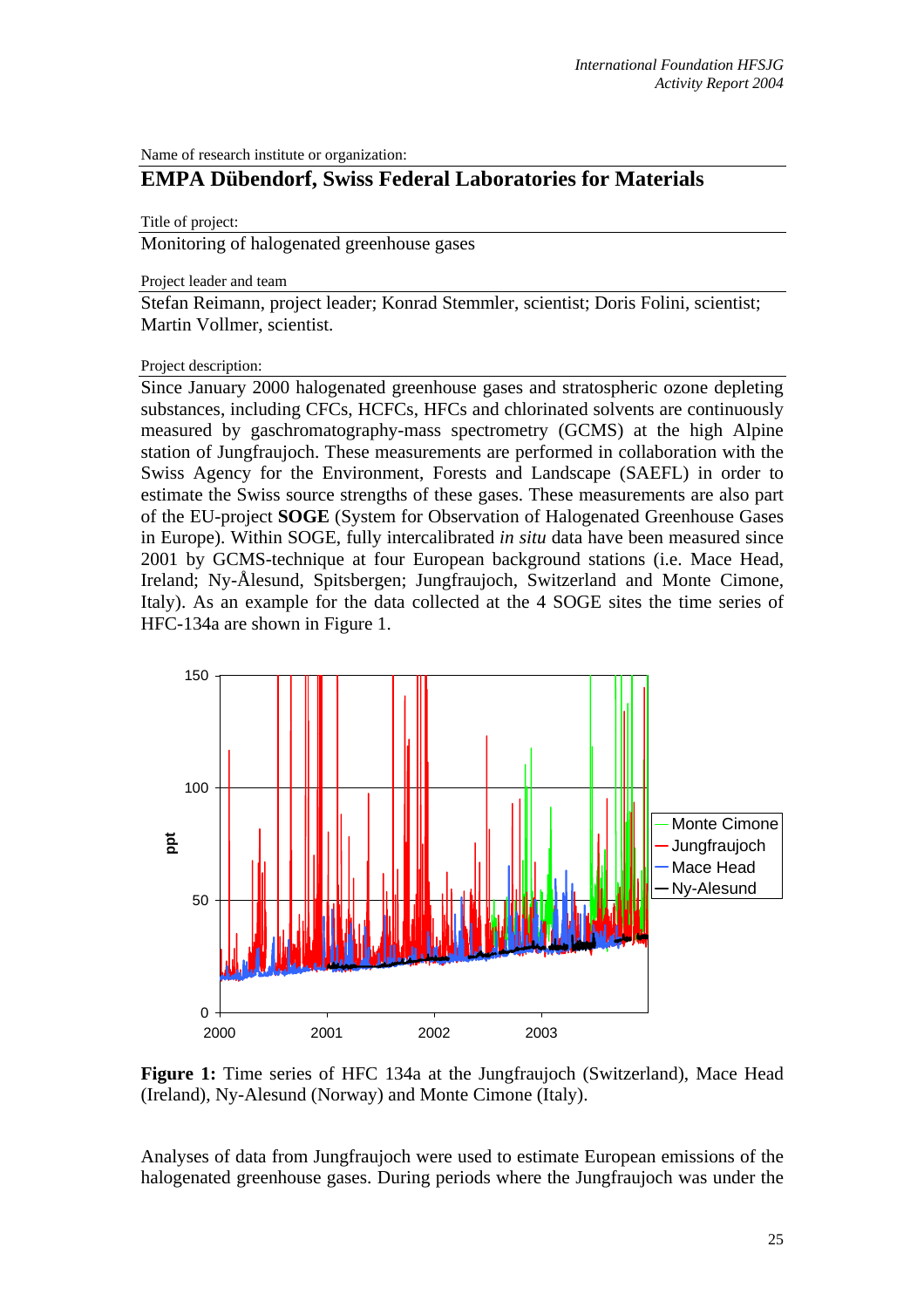Name of research institute or organization:

## **EMPA Dübendorf, Swiss Federal Laboratories for Materials**

## Title of project:

Monitoring of halogenated greenhouse gases

Project leader and team

Stefan Reimann, project leader; Konrad Stemmler, scientist; Doris Folini, scientist; Martin Vollmer, scientist.

## Project description:

Since January 2000 halogenated greenhouse gases and stratospheric ozone depleting substances, including CFCs, HCFCs, HFCs and chlorinated solvents are continuously measured by gaschromatography-mass spectrometry (GCMS) at the high Alpine station of Jungfraujoch. These measurements are performed in collaboration with the Swiss Agency for the Environment, Forests and Landscape (SAEFL) in order to estimate the Swiss source strengths of these gases. These measurements are also part of the EU-project **SOGE** (System for Observation of Halogenated Greenhouse Gases in Europe). Within SOGE, fully intercalibrated *in situ* data have been measured since 2001 by GCMS-technique at four European background stations (i.e. Mace Head, Ireland; Ny-Ålesund, Spitsbergen; Jungfraujoch, Switzerland and Monte Cimone, Italy). As an example for the data collected at the 4 SOGE sites the time series of HFC-134a are shown in Figure 1.



Figure 1: Time series of HFC 134a at the Jungfraujoch (Switzerland), Mace Head (Ireland), Ny-Alesund (Norway) and Monte Cimone (Italy).

Analyses of data from Jungfraujoch were used to estimate European emissions of the halogenated greenhouse gases. During periods where the Jungfraujoch was under the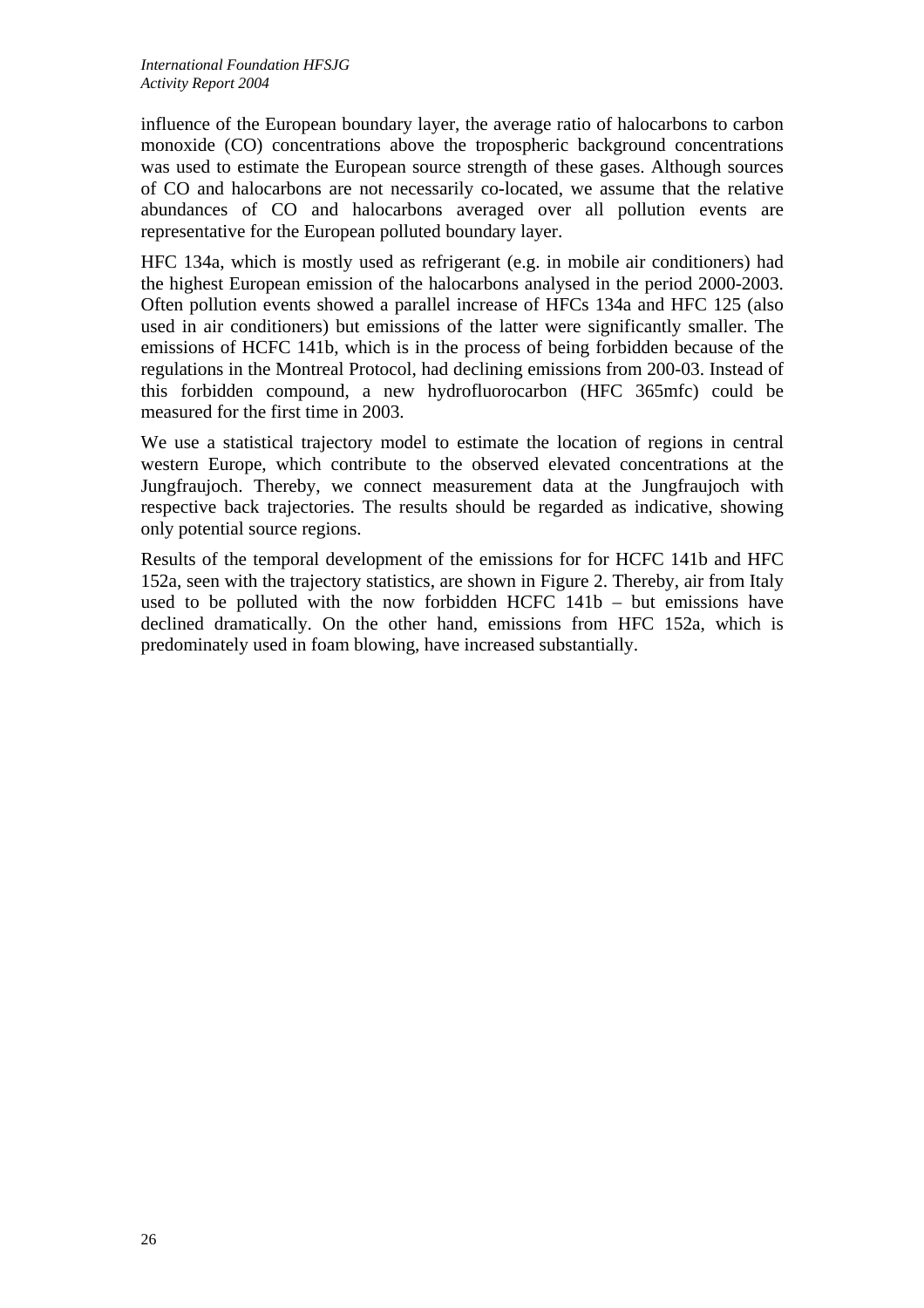influence of the European boundary layer, the average ratio of halocarbons to carbon monoxide (CO) concentrations above the tropospheric background concentrations was used to estimate the European source strength of these gases. Although sources of CO and halocarbons are not necessarily co-located, we assume that the relative abundances of CO and halocarbons averaged over all pollution events are representative for the European polluted boundary layer.

HFC 134a, which is mostly used as refrigerant (e.g. in mobile air conditioners) had the highest European emission of the halocarbons analysed in the period 2000-2003. Often pollution events showed a parallel increase of HFCs 134a and HFC 125 (also used in air conditioners) but emissions of the latter were significantly smaller. The emissions of HCFC 141b, which is in the process of being forbidden because of the regulations in the Montreal Protocol, had declining emissions from 200-03. Instead of this forbidden compound, a new hydrofluorocarbon (HFC 365mfc) could be measured for the first time in 2003.

We use a statistical trajectory model to estimate the location of regions in central western Europe, which contribute to the observed elevated concentrations at the Jungfraujoch. Thereby, we connect measurement data at the Jungfraujoch with respective back trajectories. The results should be regarded as indicative, showing only potential source regions.

Results of the temporal development of the emissions for for HCFC 141b and HFC 152a, seen with the trajectory statistics, are shown in Figure 2. Thereby, air from Italy used to be polluted with the now forbidden HCFC 141b – but emissions have declined dramatically. On the other hand, emissions from HFC 152a, which is predominately used in foam blowing, have increased substantially.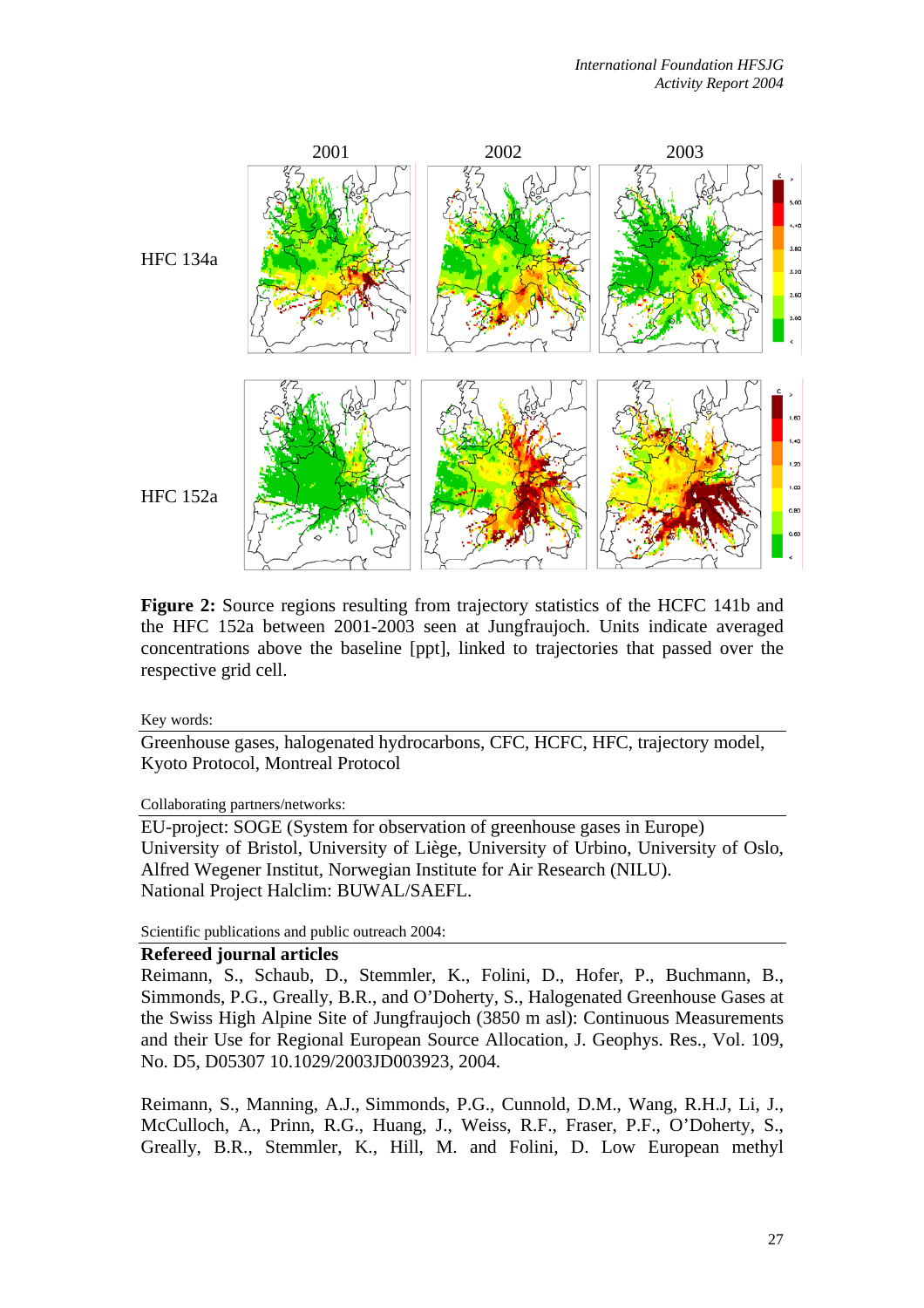

**Figure 2:** Source regions resulting from trajectory statistics of the HCFC 141b and the HFC 152a between 2001-2003 seen at Jungfraujoch. Units indicate averaged concentrations above the baseline [ppt], linked to trajectories that passed over the respective grid cell.

Key words:

Greenhouse gases, halogenated hydrocarbons, CFC, HCFC, HFC, trajectory model, Kyoto Protocol, Montreal Protocol

Collaborating partners/networks:

EU-project: SOGE (System for observation of greenhouse gases in Europe) University of Bristol, University of Liège, University of Urbino, University of Oslo, Alfred Wegener Institut, Norwegian Institute for Air Research (NILU). National Project Halclim: BUWAL/SAEFL.

Scientific publications and public outreach 2004:

## **Refereed journal articles**

Reimann, S., Schaub, D., Stemmler, K., Folini, D., Hofer, P., Buchmann, B., Simmonds, P.G., Greally, B.R., and O'Doherty, S., Halogenated Greenhouse Gases at the Swiss High Alpine Site of Jungfraujoch (3850 m asl): Continuous Measurements and their Use for Regional European Source Allocation, J. Geophys. Res., Vol. 109, No. D5, D05307 10.1029/2003JD003923, 2004.

Reimann, S., Manning, A.J., Simmonds, P.G., Cunnold, D.M., Wang, R.H.J, Li, J., McCulloch, A., Prinn, R.G., Huang, J., Weiss, R.F., Fraser, P.F., O'Doherty, S., Greally, B.R., Stemmler, K., Hill, M. and Folini, D. Low European methyl